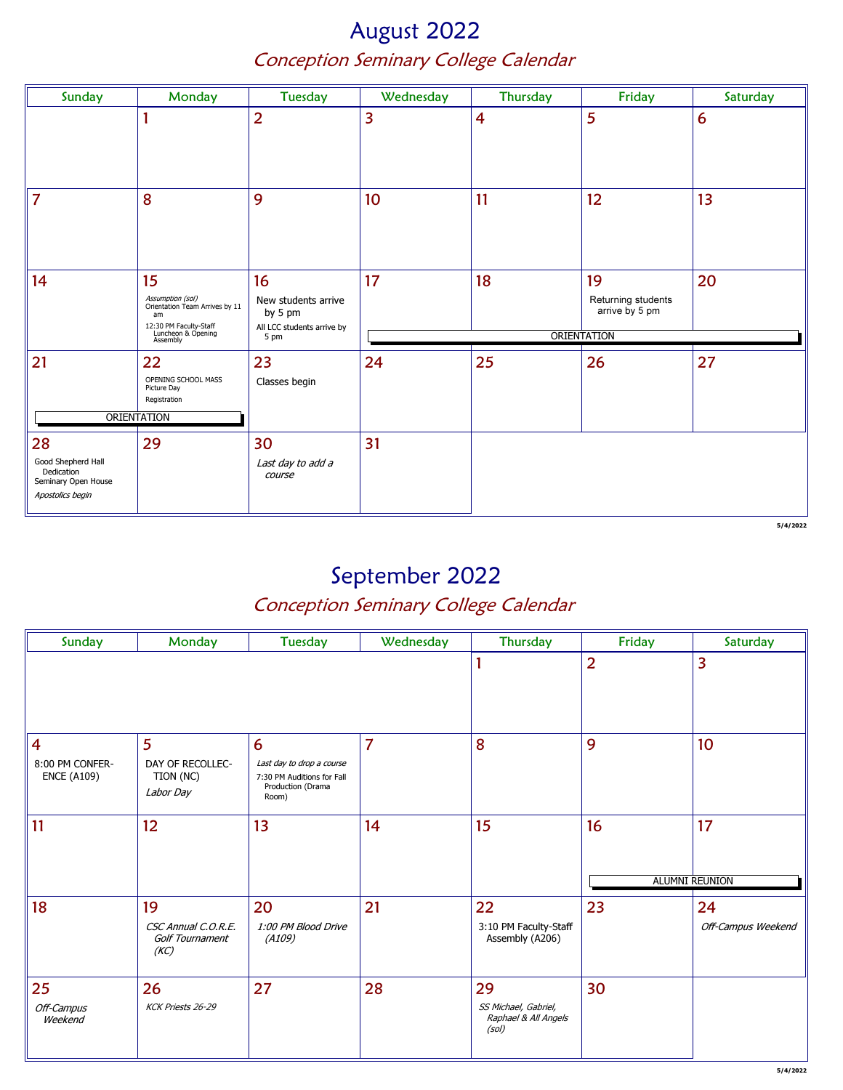### August 2022 Conception Seminary College Calendar

| Sunday                                                  | Monday                                                   | <b>Tuesday</b>                     | Wednesday       | Thursday       | Friday                               | Saturday |  |
|---------------------------------------------------------|----------------------------------------------------------|------------------------------------|-----------------|----------------|--------------------------------------|----------|--|
|                                                         |                                                          |                                    |                 |                |                                      |          |  |
|                                                         |                                                          | $\overline{2}$                     | 3               | $\overline{4}$ | 5                                    | 6        |  |
|                                                         |                                                          |                                    |                 |                |                                      |          |  |
|                                                         |                                                          |                                    |                 |                |                                      |          |  |
| $\overline{7}$                                          | 8                                                        | 9                                  | 10 <sup>°</sup> | 11             | 12                                   | 13       |  |
|                                                         |                                                          |                                    |                 |                |                                      |          |  |
|                                                         |                                                          |                                    |                 |                |                                      |          |  |
| 14                                                      | 15                                                       | 16                                 | 17              | 18             | 19                                   | 20       |  |
|                                                         | Assumption (sol)<br>Orientation Team Arrives by 11<br>am | New students arrive<br>by 5 pm     |                 |                | Returning students<br>arrive by 5 pm |          |  |
|                                                         | 12:30 PM Faculty-Staff<br>Luncheon & Opening<br>Assembly | All LCC students arrive by<br>5 pm | ORIENTATION     |                |                                      |          |  |
| 21                                                      | 22                                                       | 23                                 | 24              | 25             | 26                                   | 27       |  |
|                                                         | OPENING SCHOOL MASS<br>Picture Day                       | Classes begin                      |                 |                |                                      |          |  |
|                                                         | Registration                                             |                                    |                 |                |                                      |          |  |
| ORIENTATION                                             |                                                          |                                    |                 |                |                                      |          |  |
| 28                                                      | 29                                                       | 30                                 | 31              |                |                                      |          |  |
| Good Shepherd Hall<br>Dedication<br>Seminary Open House |                                                          | Last day to add a<br>course        |                 |                |                                      |          |  |
| Apostolics begin                                        |                                                          |                                    |                 |                |                                      |          |  |

5/4/2022

# September 2022

| Sunday                                                  | Monday                                               | <b>Tuesday</b>                                                                             | Wednesday      | Thursday                                                    | Friday         | Saturday                    |
|---------------------------------------------------------|------------------------------------------------------|--------------------------------------------------------------------------------------------|----------------|-------------------------------------------------------------|----------------|-----------------------------|
|                                                         |                                                      |                                                                                            |                |                                                             | $\overline{2}$ | $\overline{\mathbf{3}}$     |
| $\overline{4}$<br>8:00 PM CONFER-<br><b>ENCE (A109)</b> | 5<br>DAY OF RECOLLEC-<br>TION (NC)<br>Labor Day      | 6<br>Last day to drop a course<br>7:30 PM Auditions for Fall<br>Production (Drama<br>Room) | $\overline{7}$ | 8                                                           | 9              | 10                          |
| 11                                                      | 12                                                   | 13                                                                                         | 14             | 15                                                          | 16             | 17<br><b>ALUMNI REUNION</b> |
| 18                                                      | 19<br>CSC Annual C.O.R.E.<br>Golf Tournament<br>(KC) | 20<br>1:00 PM Blood Drive<br>(A109)                                                        | 21             | 22<br>3:10 PM Faculty-Staff<br>Assembly (A206)              | 23             | 24<br>Off-Campus Weekend    |
| 25<br>Off-Campus<br>Weekend                             | 26<br>KCK Priests 26-29                              | 27                                                                                         | 28             | 29<br>SS Michael, Gabriel,<br>Raphael & All Angels<br>(sol) | 30             |                             |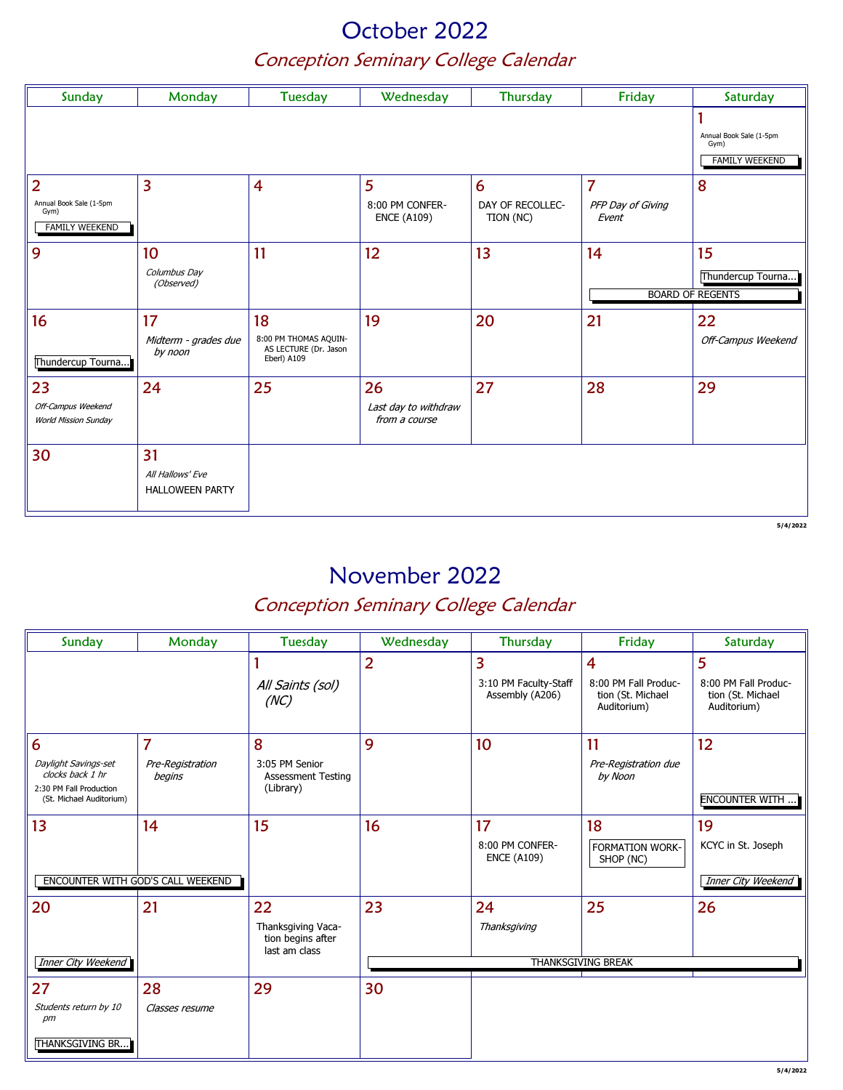### October 2022 Conception Seminary College Calendar

| Sunday                                                   | Monday                                     | Tuesday                                                       | Wednesday                             | Thursday                      | Friday                     | Saturday                                                 |
|----------------------------------------------------------|--------------------------------------------|---------------------------------------------------------------|---------------------------------------|-------------------------------|----------------------------|----------------------------------------------------------|
|                                                          |                                            |                                                               |                                       |                               |                            | Annual Book Sale (1-5pm<br>Gym)<br><b>FAMILY WEEKEND</b> |
| $\overline{2}$                                           | $\overline{3}$                             | $\overline{4}$                                                | $5\phantom{1}$                        | 6                             | $\overline{7}$             | 8                                                        |
| Annual Book Sale (1-5pm<br>Gym)<br><b>FAMILY WEEKEND</b> |                                            |                                                               | 8:00 PM CONFER-<br><b>ENCE (A109)</b> | DAY OF RECOLLEC-<br>TION (NC) | PFP Day of Giving<br>Event |                                                          |
| 9                                                        | 10 <sup>1</sup>                            | 11                                                            | 12                                    | 13                            | 14                         | 15                                                       |
|                                                          | Columbus Day<br>(Observed)                 |                                                               |                                       |                               |                            | Thundercup Tourna                                        |
|                                                          |                                            |                                                               |                                       |                               |                            | <b>BOARD OF REGENTS</b>                                  |
| 16                                                       | 17                                         | 18                                                            | 19                                    | 20                            | 21                         | 22                                                       |
| Thundercup Tourna                                        | Midterm - grades due<br>by noon            | 8:00 PM THOMAS AQUIN-<br>AS LECTURE (Dr. Jason<br>Eberl) A109 |                                       |                               |                            | Off-Campus Weekend                                       |
| 23                                                       | 24                                         | 25                                                            | 26                                    | 27                            | 28                         | 29                                                       |
| Off-Campus Weekend<br><b>World Mission Sunday</b>        |                                            |                                                               | Last day to withdraw<br>from a course |                               |                            |                                                          |
| 30                                                       | 31                                         |                                                               |                                       |                               |                            |                                                          |
|                                                          | All Hallows' Eve<br><b>HALLOWEEN PARTY</b> |                                                               |                                       |                               |                            |                                                          |
|                                                          |                                            |                                                               |                                       |                               |                            | 5/4/2022                                                 |

### November 2022

| Sunday                                                                                               | Monday                                       | Tuesday                                                        | Wednesday      | Thursday                                      | Friday                                                        | Saturday                                                      |
|------------------------------------------------------------------------------------------------------|----------------------------------------------|----------------------------------------------------------------|----------------|-----------------------------------------------|---------------------------------------------------------------|---------------------------------------------------------------|
|                                                                                                      |                                              | All Saints (sol)<br>(NC)                                       | $\overline{2}$ | 3<br>3:10 PM Faculty-Staff<br>Assembly (A206) | 4<br>8:00 PM Fall Produc-<br>tion (St. Michael<br>Auditorium) | 5<br>8:00 PM Fall Produc-<br>tion (St. Michael<br>Auditorium) |
| 6<br>Daylight Savings-set<br>clocks back 1 hr<br>2:30 PM Fall Production<br>(St. Michael Auditorium) | $\overline{7}$<br>Pre-Registration<br>begins | 8<br>3:05 PM Senior<br><b>Assessment Testing</b><br>(Library)  | 9              | 10                                            | 11<br>Pre-Registration due<br>by Noon                         | 12<br><b>ENCOUNTER WITH </b>                                  |
| 13                                                                                                   | 14<br>ENCOUNTER WITH GOD'S CALL WEEKEND      | 15                                                             | 16             | 17<br>8:00 PM CONFER-<br><b>ENCE (A109)</b>   | 18<br><b>FORMATION WORK-</b><br>SHOP (NC)                     | 19<br>KCYC in St. Joseph<br>Inner City Weekend                |
| 20<br><b>Inner City Weekend</b>                                                                      | 21                                           | 22<br>Thanksgiving Vaca-<br>tion begins after<br>last am class | 23             | 24<br>Thanksgiving                            | 25<br><b>THANKSGIVING BREAK</b>                               | 26                                                            |
| 27<br>Students return by 10<br>pm<br>THANKSGIVING BR                                                 | 28<br>Classes resume                         | 29                                                             | 30             |                                               |                                                               |                                                               |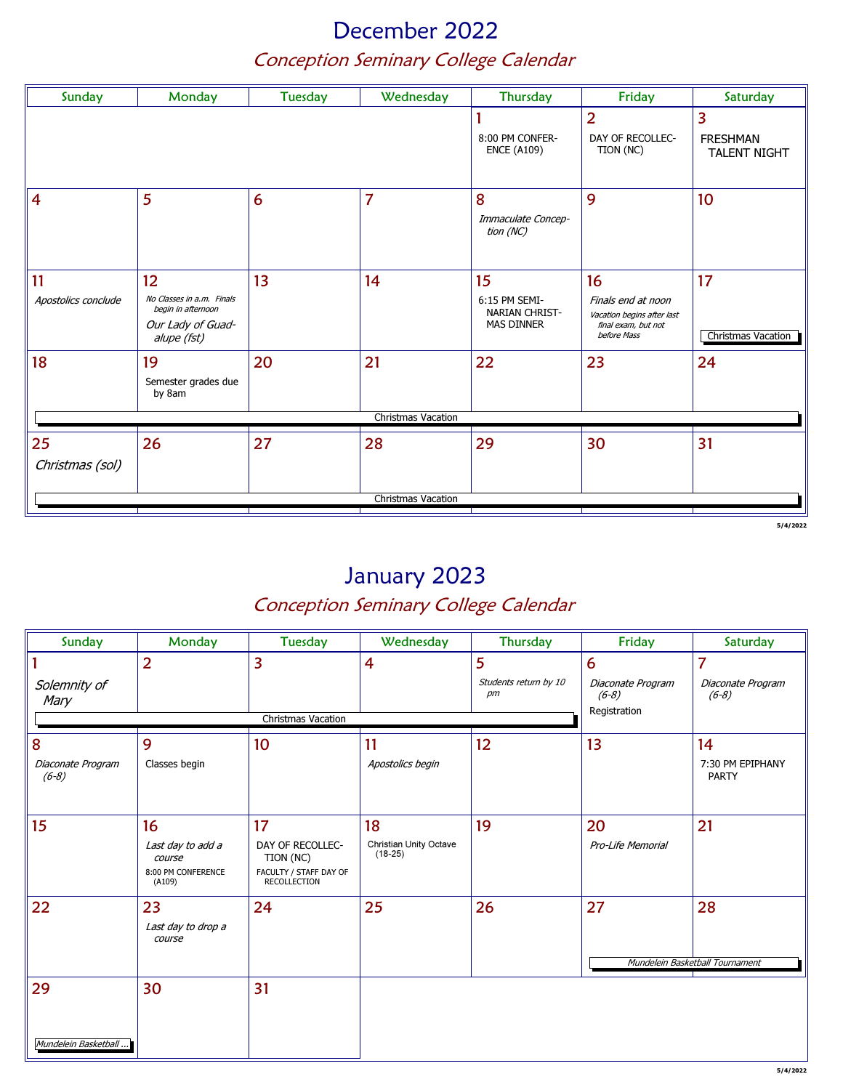# December 2022 Conception Seminary College Calendar

| Sunday                    | Monday                                                                                    | <b>Tuesday</b> | Wednesday                             | Thursday                                                          | Friday                                                                                       | Saturday                 |
|---------------------------|-------------------------------------------------------------------------------------------|----------------|---------------------------------------|-------------------------------------------------------------------|----------------------------------------------------------------------------------------------|--------------------------|
|                           |                                                                                           |                | 8:00 PM CONFER-<br><b>ENCE (A109)</b> | $\overline{2}$<br>DAY OF RECOLLEC-<br>TION (NC)                   | $\overline{3}$<br><b>FRESHMAN</b><br><b>TALENT NIGHT</b>                                     |                          |
| $\overline{4}$            | 5                                                                                         | 6              | $\overline{7}$                        | 8<br>Immaculate Concep-<br>tion (NC)                              | 9                                                                                            | 10 <sup>°</sup>          |
| 11<br>Apostolics conclude | 12<br>No Classes in a.m. Finals<br>begin in afternoon<br>Our Lady of Guad-<br>alupe (fst) | 13             | 14                                    | 15<br>6:15 PM SEMI-<br><b>NARIAN CHRIST-</b><br><b>MAS DINNER</b> | 16<br>Finals end at noon<br>Vacation begins after last<br>final exam, but not<br>before Mass | 17<br>Christmas Vacation |
| 18                        | 19<br>Semester grades due<br>by 8am                                                       | 20             | 21<br>Christmas Vacation              | 22                                                                | 23                                                                                           | 24                       |
|                           |                                                                                           |                |                                       |                                                                   |                                                                                              |                          |
| 25<br>Christmas (sol)     | 26                                                                                        | 27             | 28                                    | 29                                                                | 30                                                                                           | 31                       |
|                           |                                                                                           |                | Christmas Vacation                    |                                                                   |                                                                                              |                          |

5/4/2022

# January 2023

| Sunday                       | Monday                                                      | Tuesday                                                                 | Wednesday                           | Thursday                    | Friday                                       | Saturday                         |
|------------------------------|-------------------------------------------------------------|-------------------------------------------------------------------------|-------------------------------------|-----------------------------|----------------------------------------------|----------------------------------|
|                              | $\overline{2}$                                              | 3                                                                       | $\overline{4}$                      | 5                           | 6                                            | 7                                |
| Solemnity of<br>Mary         |                                                             |                                                                         |                                     | Students return by 10<br>pm | Diaconate Program<br>$(6-8)$<br>Registration | Diaconate Program<br>$(6-8)$     |
|                              |                                                             | Christmas Vacation                                                      |                                     |                             |                                              |                                  |
| 8                            | 9                                                           | 10                                                                      | 11                                  | 12                          | 13                                           | 14                               |
| Diaconate Program<br>$(6-8)$ | Classes begin                                               |                                                                         | Apostolics begin                    |                             |                                              | 7:30 PM EPIPHANY<br><b>PARTY</b> |
|                              |                                                             |                                                                         |                                     |                             |                                              |                                  |
| 15                           | 16                                                          | 17                                                                      | 18                                  | 19                          | 20                                           | 21                               |
|                              | Last day to add a<br>course<br>8:00 PM CONFERENCE<br>(A109) | DAY OF RECOLLEC-<br>TION (NC)<br>FACULTY / STAFF DAY OF<br>RECOLLECTION | Christian Unity Octave<br>$(18-25)$ |                             | Pro-Life Memorial                            |                                  |
| 22                           | 23                                                          | 24                                                                      | 25                                  | 26                          | 27                                           | 28                               |
|                              | Last day to drop a<br>course                                |                                                                         |                                     |                             |                                              |                                  |
|                              |                                                             |                                                                         |                                     |                             |                                              | Mundelein Basketball Tournament  |
| 29                           | 30                                                          | 31                                                                      |                                     |                             |                                              |                                  |
|                              |                                                             |                                                                         |                                     |                             |                                              |                                  |
|                              |                                                             |                                                                         |                                     |                             |                                              |                                  |
| Mundelein Basketball         |                                                             |                                                                         |                                     |                             |                                              |                                  |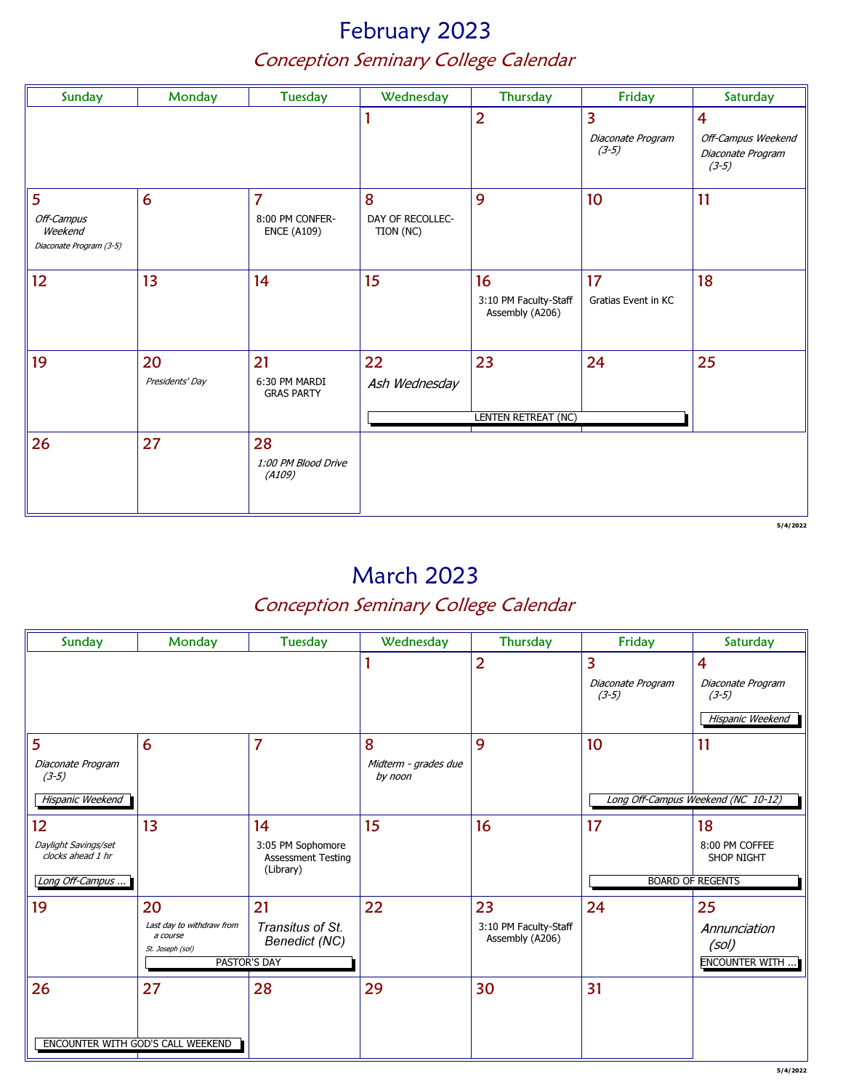# February 2023 Conception Seminary College Calendar

| Sunday                                                | Monday                | <b>Tuesday</b>                                          | Wednesday                          | Thursday                                       | Friday                            | Saturday                                                                      |
|-------------------------------------------------------|-----------------------|---------------------------------------------------------|------------------------------------|------------------------------------------------|-----------------------------------|-------------------------------------------------------------------------------|
|                                                       |                       |                                                         |                                    | $\overline{2}$                                 | 3<br>Diaconate Program<br>$(3-5)$ | $\overline{\mathbf{4}}$<br>Off-Campus Weekend<br>Diaconate Program<br>$(3-5)$ |
| 5<br>Off-Campus<br>Weekend<br>Diaconate Program (3-5) | $6\phantom{1}6$       | $\overline{7}$<br>8:00 PM CONFER-<br><b>ENCE (A109)</b> | 8<br>DAY OF RECOLLEC-<br>TION (NC) | 9                                              | 10 <sup>°</sup>                   | 11                                                                            |
| 12                                                    | 13                    | 14                                                      | 15                                 | 16<br>3:10 PM Faculty-Staff<br>Assembly (A206) | 17<br>Gratias Event in KC         | 18                                                                            |
| 19                                                    | 20<br>Presidents' Day | 21<br>6:30 PM MARDI<br><b>GRAS PARTY</b>                | 22<br>Ash Wednesday                | 23<br>LENTEN RETREAT (NC)                      | 24                                | 25                                                                            |
| 26                                                    | 27                    | 28<br>1:00 PM Blood Drive<br>(A109)                     |                                    |                                                |                                   |                                                                               |

5/4/2022

# March 2023

| Sunday                                                             | Monday                                                          | Tuesday                                                               | Wednesday                            | Thursday                                       | Friday                            | Saturday                                                           |
|--------------------------------------------------------------------|-----------------------------------------------------------------|-----------------------------------------------------------------------|--------------------------------------|------------------------------------------------|-----------------------------------|--------------------------------------------------------------------|
|                                                                    |                                                                 |                                                                       |                                      | $\overline{2}$                                 | 3<br>Diaconate Program<br>$(3-5)$ | $\overline{4}$<br>Diaconate Program<br>$(3-5)$<br>Hispanic Weekend |
| 5<br>Diaconate Program<br>$(3-5)$<br>Hispanic Weekend              | 6                                                               | 7                                                                     | 8<br>Midterm - grades due<br>by noon | 9                                              | 10                                | 11<br>Long Off-Campus Weekend (NC 10-12)                           |
| 12<br>Daylight Savings/set<br>clocks ahead 1 hr<br>Long Off-Campus | 13                                                              | 14<br>3:05 PM Sophomore<br><b>Assessment Testing</b><br>(Library)     | 15                                   | 16                                             | 17                                | 18<br>8:00 PM COFFEE<br>SHOP NIGHT<br><b>BOARD OF REGENTS</b>      |
| 19                                                                 | 20<br>Last day to withdraw from<br>a course<br>St. Joseph (sol) | 21<br>Transitus of St.<br><b>Benedict (NC)</b><br><b>PASTOR'S DAY</b> | 22                                   | 23<br>3:10 PM Faculty-Staff<br>Assembly (A206) | 24                                | 25<br>Annunciation<br>(sol)<br><b>ENCOUNTER WITH</b>               |
| 26                                                                 | 27<br>ENCOUNTER WITH GOD'S CALL WEEKEND                         | 28                                                                    | 29                                   | 30                                             | 31                                |                                                                    |